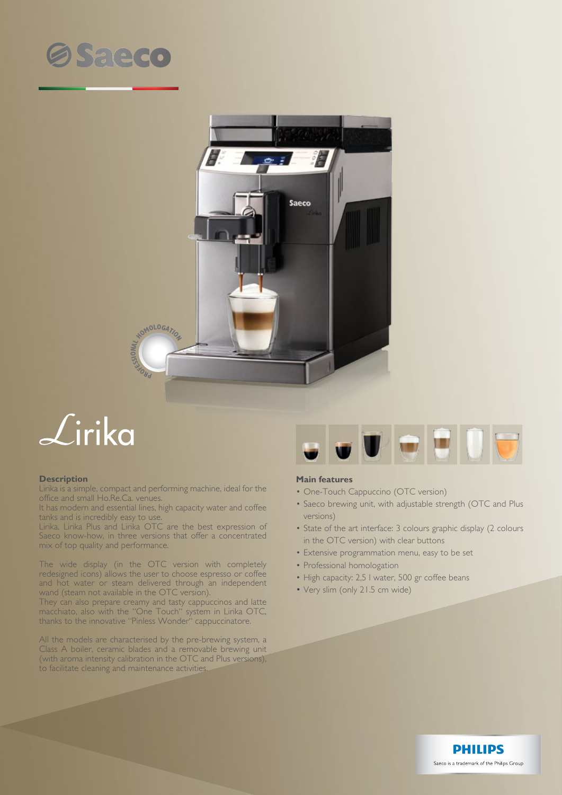



## $\mathcal{L}$ irika

## **Description**

Lirika is a simple, compact and performing machine, ideal for the office and small Ho.Re.Ca. venues.

It has modern and essential lines, high capacity water and coffee tanks and is incredibly easy to use.

Lirika, Lirika Plus and Lirika OTC are the best expression of Saeco know-how, in three versions that offer a concentrated mix of top quality and performance.

The wide display (in the OTC version with completely redesigned icons) allows the user to choose espresso or coffee and hot water or steam delivered through an independent wand (steam not available in the OTC version).

They can also prepare creamy and tasty cappuccinos and latte macchiato, also with the "One Touch" system in Lirika OTC, thanks to the innovative "Pinless Wonder" cappuccinatore.

All the models are characterised by the pre-brewing system, a Class A boiler, ceramic blades and a removable brewing unit (with aroma intensity calibration in the OTC and Plus versions), to facilitate cleaning and maintenance activities.



## **Main features**

- One-Touch Cappuccino (OTC version)
- Saeco brewing unit, with adjustable strength (OTC and Plus versions)
- State of the art interface: 3 colours graphic display (2 colours in the OTC version) with clear buttons
- Extensive programmation menu, easy to be set
- Professional homologation
- High capacity: 2,5 I water, 500 gr coffee beans
- Very slim (only 21.5 cm wide)